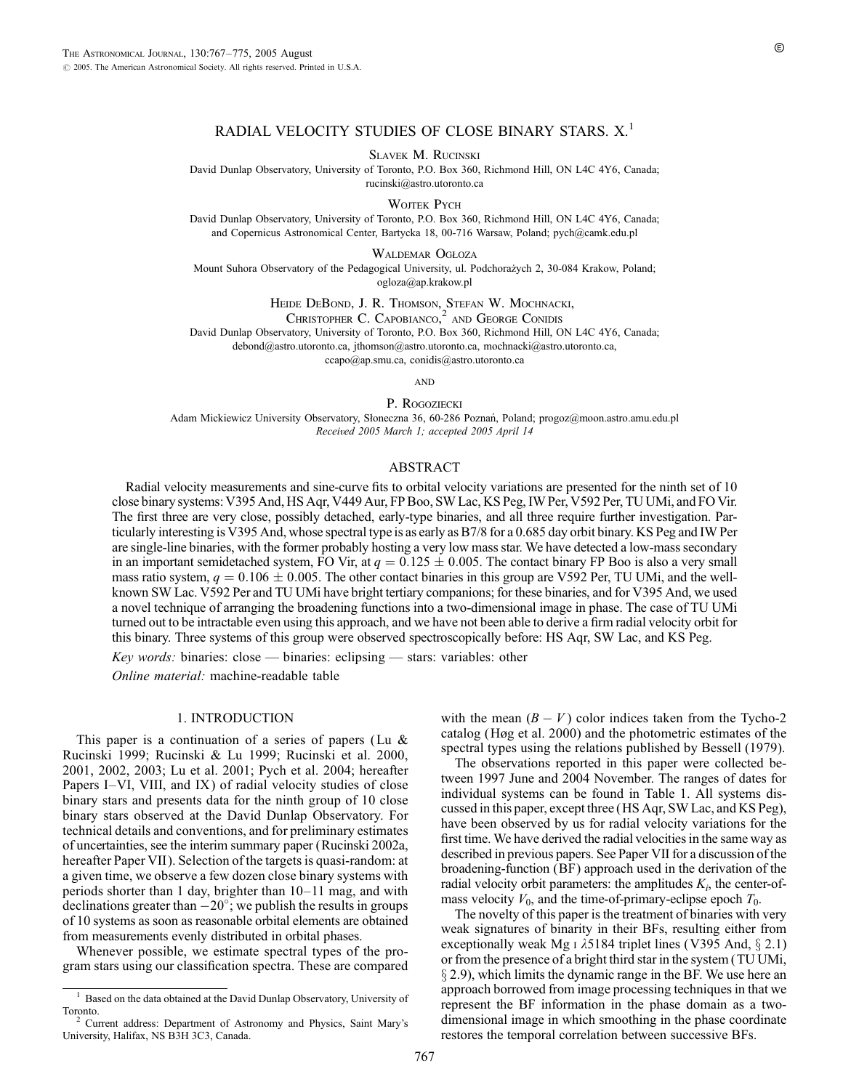# RADIAL VELOCITY STUDIES OF CLOSE BINARY STARS. X.<sup>1</sup>

SLAVEK M. RUCINSKI

David Dunlap Observatory, University of Toronto, P.O. Box 360, Richmond Hill, ON L4C 4Y6, Canada; rucinski@astro.utoronto.ca

WOITEK PYCH

David Dunlap Observatory, University of Toronto, P.O. Box 360, Richmond Hill, ON L4C 4Y6, Canada; and Copernicus Astronomical Center, Bartycka 18, 00-716 Warsaw, Poland; pych@camk.edu.pl

WALDEMAR OGŁOZA

Mount Suhora Observatory of the Pedagogical University, ul. Podchorażych 2, 30-084 Krakow, Poland; ogloza@ap.krakow.pl

Heide DeBond, J. R. Thomson, Stefan W. Mochnacki,

CHRISTOPHER C. CAPOBIANCO,<sup>2</sup> AND GEORGE CONIDIS David Dunlap Observatory, University of Toronto, P.O. Box 360, Richmond Hill, ON L4C 4Y6, Canada; debond@astro.utoronto.ca, jthomson@astro.utoronto.ca, mochnacki@astro.utoronto.ca,

ccapo@ap.smu.ca, conidis@astro.utoronto.ca

**AND** 

P. ROGOZIECKI

Adam Mickiewicz University Observatory, Słoneczna 36, 60-286 Poznań, Poland; progoz@moon.astro.amu.edu.pl Received 2005 March 1; accepted 2005 April 14

# ABSTRACT

Radial velocity measurements and sine-curve fits to orbital velocity variations are presented for the ninth set of 10 close binary systems: V395 And, HS Aqr, V449 Aur, FP Boo, SW Lac, KS Peg, IW Per, V592 Per, TU UMi, and FO Vir. The first three are very close, possibly detached, early-type binaries, and all three require further investigation. Particularly interesting is V395 And, whose spectral type is as early as B7/8 for a 0.685 day orbit binary. KS Peg and IW Per are single-line binaries, with the former probably hosting a very low mass star. We have detected a low-mass secondary in an important semidetached system, FO Vir, at  $q = 0.125 \pm 0.005$ . The contact binary FP Boo is also a very small mass ratio system,  $q = 0.106 \pm 0.005$ . The other contact binaries in this group are V592 Per, TU UMi, and the wellknown SW Lac. V592 Per and TU UMi have bright tertiary companions; for these binaries, and for V395 And, we used a novel technique of arranging the broadening functions into a two-dimensional image in phase. The case of TU UMi turned out to be intractable even using this approach, and we have not been able to derive a firm radial velocity orbit for this binary. Three systems of this group were observed spectroscopically before: HS Aqr, SW Lac, and KS Peg.

Key words: binaries: close — binaries: eclipsing — stars: variables: other

Online material: machine-readable table

### 1. INTRODUCTION

This paper is a continuation of a series of papers (Lu  $\&$ Rucinski 1999; Rucinski & Lu 1999; Rucinski et al. 2000, 2001, 2002, 2003; Lu et al. 2001; Pych et al. 2004; hereafter Papers I–VI, VIII, and IX) of radial velocity studies of close binary stars and presents data for the ninth group of 10 close binary stars observed at the David Dunlap Observatory. For technical details and conventions, and for preliminary estimates of uncertainties, see the interim summary paper (Rucinski 2002a, hereafter Paper VII). Selection of the targets is quasi-random: at a given time, we observe a few dozen close binary systems with periods shorter than 1 day, brighter than 10–11 mag, and with declinations greater than  $-20^\circ$ ; we publish the results in groups of 10 systems as soon as reasonable orbital elements are obtained from measurements evenly distributed in orbital phases.

Whenever possible, we estimate spectral types of the program stars using our classification spectra. These are compared

with the mean  $(B - V)$  color indices taken from the Tycho-2 catalog (Høg et al. 2000) and the photometric estimates of the spectral types using the relations published by Bessell (1979).

The observations reported in this paper were collected between 1997 June and 2004 November. The ranges of dates for individual systems can be found in Table 1. All systems discussed in this paper, except three (HS Aqr, SW Lac, and KS Peg), have been observed by us for radial velocity variations for the first time. We have derived the radial velocities in the same way as described in previous papers. See Paper VII for a discussion of the broadening-function (BF) approach used in the derivation of the radial velocity orbit parameters: the amplitudes  $K_i$ , the center-ofmass velocity  $V_0$ , and the time-of-primary-eclipse epoch  $T_0$ .

The novelty of this paper is the treatment of binaries with very weak signatures of binarity in their BFs, resulting either from exceptionally weak Mg  $\iota$  1 25184 triplet lines (V395 And,  $\S$  2.1) or from the presence of a bright third star in the system (TU UMi,  $\S$  2.9), which limits the dynamic range in the BF. We use here an approach borrowed from image processing techniques in that we represent the BF information in the phase domain as a twodimensional image in which smoothing in the phase coordinate restores the temporal correlation between successive BFs.

<sup>&</sup>lt;sup>1</sup> Based on the data obtained at the David Dunlap Observatory, University of Toronto. <sup>2</sup> Current address: Department of Astronomy and Physics, Saint Mary's

University, Halifax, NS B3H 3C3, Canada.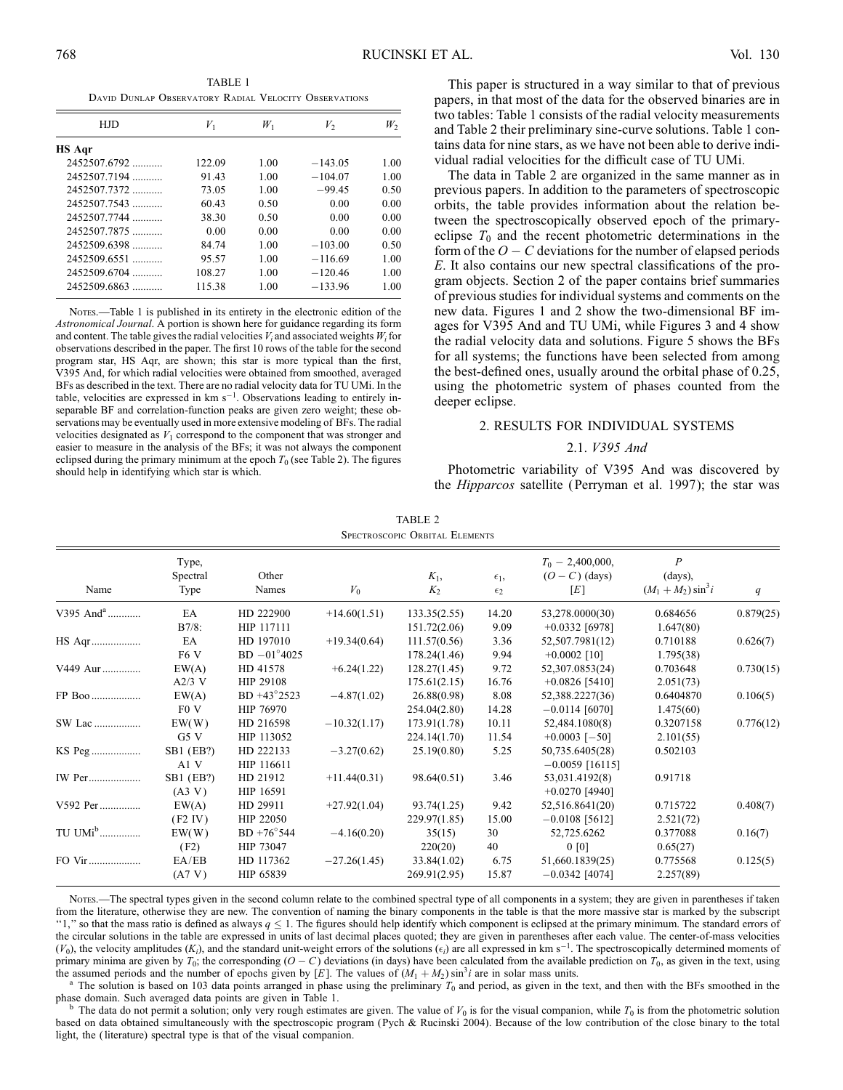TABLE 1 David Dunlap Observatory Radial Velocity Observations

| HJD            | $V_1$  | $W_1$ | V,        | $W_2$ |
|----------------|--------|-------|-----------|-------|
| <b>HS Aqr</b>  |        |       |           |       |
| $2452507.6792$ | 122.09 | 1.00  | $-143.05$ | 1.00  |
| 2452507.7194   | 91.43  | 1.00  | $-104.07$ | 1.00  |
| 2452507.7372   | 73.05  | 1.00  | $-99.45$  | 0.50  |
| 2452507.7543   | 60.43  | 0.50  | 0.00      | 0.00  |
| 2452507.7744   | 38.30  | 0.50  | 0.00      | 0.00  |
| 2452507.7875   | 0.00   | 0.00  | 0.00      | 0.00  |
| 2452509.6398   | 84.74  | 1.00  | $-103.00$ | 0.50  |
| $2452509.6551$ | 95.57  | 1.00  | $-116.69$ | 1.00  |
| $2452509.6704$ | 108.27 | 1.00  | $-120.46$ | 1.00  |
| $2452509.6863$ | 115.38 | 1.00  | $-133.96$ | 1.00  |

Nores.—Table 1 is published in its entirety in the electronic edition of the Astronomical Journal. A portion is shown here for guidance regarding its form and content. The table gives the radial velocities  $V_i$  and associated weights  $W_i$  for observations described in the paper. The first 10 rows of the table for the second program star, HS Aqr, are shown; this star is more typical than the first, V395 And, for which radial velocities were obtained from smoothed, averaged BFs as described in the text. There are no radial velocity data for TU UMi. In the table, velocities are expressed in  $km s^{-1}$ . Observations leading to entirely inseparable BF and correlation-function peaks are given zero weight; these observations may be eventually used in more extensive modeling of BFs. The radial velocities designated as  $V_1$  correspond to the component that was stronger and easier to measure in the analysis of the BFs; it was not always the component eclipsed during the primary minimum at the epoch  $T_0$  (see Table 2). The figures should help in identifying which star is which.

This paper is structured in a way similar to that of previous papers, in that most of the data for the observed binaries are in two tables: Table 1 consists of the radial velocity measurements and Table 2 their preliminary sine-curve solutions. Table 1 contains data for nine stars, as we have not been able to derive individual radial velocities for the difficult case of TU UMi.

The data in Table 2 are organized in the same manner as in previous papers. In addition to the parameters of spectroscopic orbits, the table provides information about the relation between the spectroscopically observed epoch of the primaryeclipse  $T_0$  and the recent photometric determinations in the form of the  $O - C$  deviations for the number of elapsed periods E. It also contains our new spectral classifications of the program objects. Section 2 of the paper contains brief summaries of previous studies for individual systems and comments on the new data. Figures 1 and 2 show the two-dimensional BF images for V395 And and TU UMi, while Figures 3 and 4 show the radial velocity data and solutions. Figure 5 shows the BFs for all systems; the functions have been selected from among the best-defined ones, usually around the orbital phase of 0.25, using the photometric system of phases counted from the deeper eclipse.

# 2. RESULTS FOR INDIVIDUAL SYSTEMS

### 2.1. V395 And

Photometric variability of V395 And was discovered by the Hipparcos satellite ( Perryman et al. 1997); the star was

| TABLE 2                               |  |  |  |  |  |  |  |  |
|---------------------------------------|--|--|--|--|--|--|--|--|
| <b>SPECTROSCOPIC ORBITAL ELEMENTS</b> |  |  |  |  |  |  |  |  |

| Name                  | Type,<br>Spectral<br>Type | Other<br>Names       | $V_0$          | $K_1$ ,<br>$K_2$ | $\epsilon_1$ ,<br>$\epsilon_2$ | $T_0 - 2,400,000,$<br>$(O - C)$ (days)<br>[E] | $\boldsymbol{P}$<br>$(days)$ ,<br>$(M_1 + M_2) \sin^3 i$ | q         |
|-----------------------|---------------------------|----------------------|----------------|------------------|--------------------------------|-----------------------------------------------|----------------------------------------------------------|-----------|
| V395 And <sup>a</sup> | EA                        | HD 222900            | $+14.60(1.51)$ | 133.35(2.55)     | 14.20                          | 53,278.0000(30)                               | 0.684656                                                 | 0.879(25) |
|                       | $B7/8$ :                  | HIP 117111           |                | 151.72(2.06)     | 9.09                           | $+0.0332$ [6978]                              | 1.647(80)                                                |           |
| HS Aqr                | EA                        | HD 197010            | $+19.34(0.64)$ | 111.57(0.56)     | 3.36                           | 52,507.7981(12)                               | 0.710188                                                 | 0.626(7)  |
|                       | F <sub>6</sub> V          | $BD -01^{\circ}4025$ |                | 178.24(1.46)     | 9.94                           | $+0.0002$ [10]                                | 1.795(38)                                                |           |
| V449 Aur              | EW(A)                     | HD 41578             | $+6.24(1.22)$  | 128.27(1.45)     | 9.72                           | 52,307.0853(24)                               | 0.703648                                                 | 0.730(15) |
|                       | $A2/3$ V                  | HIP 29108            |                | 175.61(2.15)     | 16.76                          | $+0.0826$ [5410]                              | 2.051(73)                                                |           |
| FP Boo                | EW(A)                     | BD +43°2523          | $-4.87(1.02)$  | 26.88(0.98)      | 8.08                           | 52,388.2227(36)                               | 0.6404870                                                | 0.106(5)  |
|                       | F <sub>0</sub> V          | HIP 76970            |                | 254.04(2.80)     | 14.28                          | $-0.0114$ [6070]                              | 1.475(60)                                                |           |
| SW Lac                | EW(W)                     | HD 216598            | $-10.32(1.17)$ | 173.91(1.78)     | 10.11                          | 52,484.1080(8)                                | 0.3207158                                                | 0.776(12) |
|                       | G5V                       | HIP 113052           |                | 224.14(1.70)     | 11.54                          | $+0.0003$ [-50]                               | 2.101(55)                                                |           |
| KS Peg                | SB1 (EB?)                 | HD 222133            | $-3.27(0.62)$  | 25.19(0.80)      | 5.25                           | 50,735.6405(28)                               | 0.502103                                                 |           |
|                       | A1 V                      | HIP 116611           |                |                  |                                | $-0.0059$ [16115]                             |                                                          |           |
| IW Per                | SB1 (EB?)                 | HD 21912             | $+11.44(0.31)$ | 98.64(0.51)      | 3.46                           | 53,031.4192(8)                                | 0.91718                                                  |           |
|                       | (A3 V)                    | HIP 16591            |                |                  |                                | $+0.0270$ [4940]                              |                                                          |           |
| V592 Per              | EW(A)                     | HD 29911             | $+27.92(1.04)$ | 93.74(1.25)      | 9.42                           | 52,516.8641(20)                               | 0.715722                                                 | 0.408(7)  |
|                       | (F2 IV)                   | HIP 22050            |                | 229.97(1.85)     | 15.00                          | $-0.0108$ [5612]                              | 2.521(72)                                                |           |
| TU $UMi^b$            | EW(W)                     | $BD + 76^{\circ}544$ | $-4.16(0.20)$  | 35(15)           | 30                             | 52,725.6262                                   | 0.377088                                                 | 0.16(7)   |
|                       | (F2)                      | HIP 73047            |                | 220(20)          | 40                             | 0 [0]                                         | 0.65(27)                                                 |           |
| FO Vir                | EA/EB                     | HD 117362            | $-27.26(1.45)$ | 33.84(1.02)      | 6.75                           | 51,660.1839(25)                               | 0.775568                                                 | 0.125(5)  |
|                       | (A7 V)                    | HIP 65839            |                | 269.91(2.95)     | 15.87                          | $-0.0342$ [4074]                              | 2.257(89)                                                |           |

Notes.—The spectral types given in the second column relate to the combined spectral type of all components in a system; they are given in parentheses if taken from the literature, otherwise they are new. The convention of naming the binary components in the table is that the more massive star is marked by the subscript "1," so that the mass ratio is defined as always  $q \leq 1$ . The figures should help identify which component is eclipsed at the primary minimum. The standard errors of the circular solutions in the table are expressed in units of last decimal places quoted; they are given in parentheses after each value. The center-of-mass velocities  $(V_0)$ , the velocity amplitudes  $(K_i)$ , and the standard unit-weight errors of the solutions  $(\epsilon_i)$  are all expressed in km s<sup>-1</sup>. The spectroscopically determined moments of primary minima are given by  $T_0$ ; the corresponding  $(O - C)$  deviations (in days) have been calculated from the available prediction on  $T_0$ , as given in the text, using the assumed periods and the number of epochs given by [E]. The values of  $(M_1 + M_2) \sin^3 i$  are in solar mass units.

<sup>a</sup> The solution is based on 103 data points arranged in phase using the preliminary  $T_0$  and period, as given in the text, and then with the BFs smoothed in the phase domain. Such averaged data points are given in Table

The data do not permit a solution; only very rough estimates are given. The value of  $V_0$  is for the visual companion, while  $T_0$  is from the photometric solution based on data obtained simultaneously with the spectroscopic program (Pych & Rucinski 2004). Because of the low contribution of the close binary to the total light, the (literature) spectral type is that of the visual companion.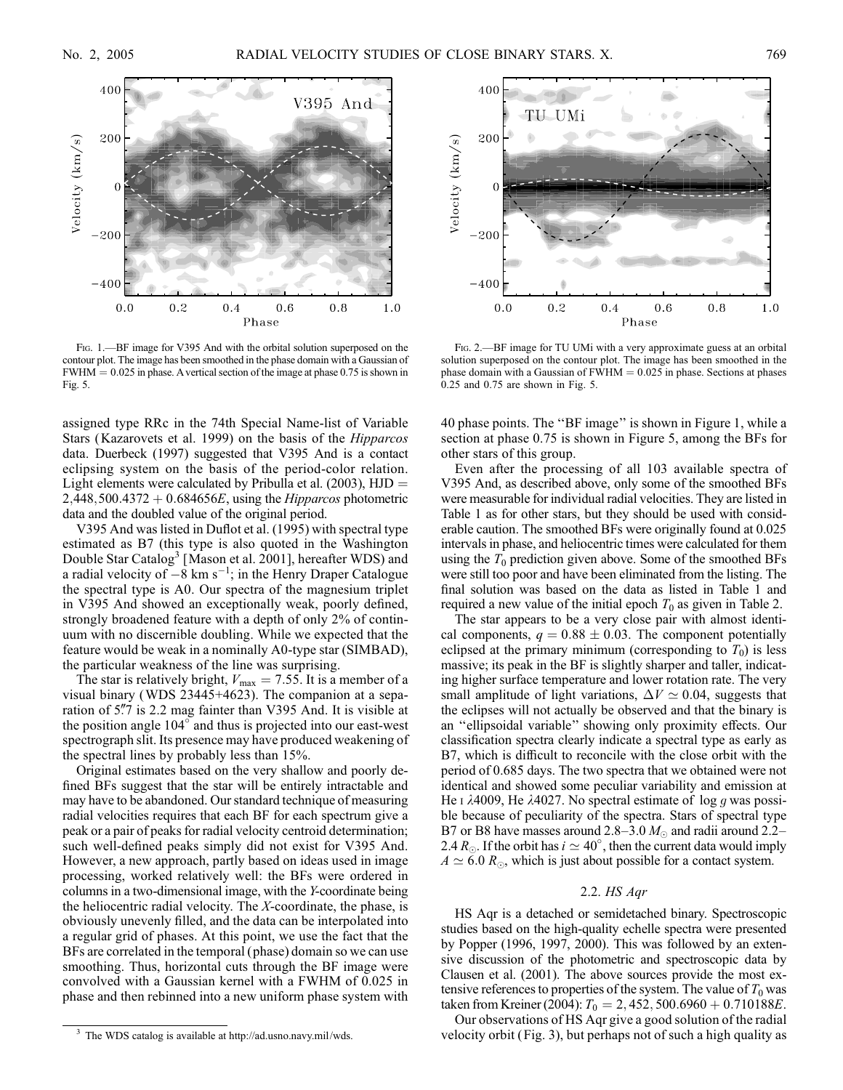

FIG. 1.—BF image for V395 And with the orbital solution superposed on the contour plot. The image has been smoothed in the phase domain with a Gaussian of  $FWHM = 0.025$  in phase. A vertical section of the image at phase 0.75 is shown in Fig. 5.

assigned type RRc in the 74th Special Name-list of Variable Stars (Kazarovets et al. 1999) on the basis of the Hipparcos data. Duerbeck (1997) suggested that V395 And is a contact eclipsing system on the basis of the period-color relation. Light elements were calculated by Pribulla et al. (2003),  $HJD =$  $2,448,500.4372 + 0.684656E$ , using the *Hipparcos* photometric data and the doubled value of the original period.

V395 And was listed in Duflot et al. (1995) with spectral type estimated as B7 (this type is also quoted in the Washington Double Star Catalog<sup>3</sup> [Mason et al. 2001], hereafter WDS) and a radial velocity of  $-8 \text{ km s}^{-1}$ ; in the Henry Draper Catalogue the spectral type is A0. Our spectra of the magnesium triplet in V395 And showed an exceptionally weak, poorly defined, strongly broadened feature with a depth of only 2% of continuum with no discernible doubling. While we expected that the feature would be weak in a nominally A0-type star (SIMBAD), the particular weakness of the line was surprising.

The star is relatively bright,  $V_{\text{max}} = 7.55$ . It is a member of a visual binary (WDS 23445+4623). The companion at a separation of 5.7 is 2.2 mag fainter than V395 And. It is visible at the position angle  $104^\circ$  and thus is projected into our east-west spectrograph slit. Its presence may have produced weakening of the spectral lines by probably less than 15%.

Original estimates based on the very shallow and poorly defined BFs suggest that the star will be entirely intractable and may have to be abandoned. Our standard technique of measuring radial velocities requires that each BF for each spectrum give a peak or a pair of peaks for radial velocity centroid determination; such well-defined peaks simply did not exist for V395 And. However, a new approach, partly based on ideas used in image processing, worked relatively well: the BFs were ordered in columns in a two-dimensional image, with the Y-coordinate being the heliocentric radial velocity. The  $X$ -coordinate, the phase, is obviously unevenly filled, and the data can be interpolated into a regular grid of phases. At this point, we use the fact that the BFs are correlated in the temporal (phase) domain so we can use smoothing. Thus, horizontal cuts through the BF image were convolved with a Gaussian kernel with a FWHM of 0.025 in phase and then rebinned into a new uniform phase system with



Fig. 2.—BF image for TU UMi with a very approximate guess at an orbital solution superposed on the contour plot. The image has been smoothed in the phase domain with a Gaussian of  $FWHM = 0.025$  in phase. Sections at phases 0.25 and 0.75 are shown in Fig. 5.

40 phase points. The ''BF image'' is shown in Figure 1, while a section at phase 0.75 is shown in Figure 5, among the BFs for other stars of this group.

Even after the processing of all 103 available spectra of V395 And, as described above, only some of the smoothed BFs were measurable for individual radial velocities. They are listed in Table 1 as for other stars, but they should be used with considerable caution. The smoothed BFs were originally found at 0.025 intervals in phase, and heliocentric times were calculated for them using the  $T_0$  prediction given above. Some of the smoothed BFs were still too poor and have been eliminated from the listing. The final solution was based on the data as listed in Table 1 and required a new value of the initial epoch  $T_0$  as given in Table 2.

The star appears to be a very close pair with almost identical components,  $q = 0.88 \pm 0.03$ . The component potentially eclipsed at the primary minimum (corresponding to  $T_0$ ) is less massive; its peak in the BF is slightly sharper and taller, indicating higher surface temperature and lower rotation rate. The very small amplitude of light variations,  $\Delta V \simeq 0.04$ , suggests that the eclipses will not actually be observed and that the binary is an ''ellipsoidal variable'' showing only proximity effects. Our classification spectra clearly indicate a spectral type as early as B7, which is difficult to reconcile with the close orbit with the period of 0.685 days. The two spectra that we obtained were not identical and showed some peculiar variability and emission at He I  $\lambda$ 4009, He  $\lambda$ 4027. No spectral estimate of log g was possible because of peculiarity of the spectra. Stars of spectral type B7 or B8 have masses around 2.8–3.0  $M_{\odot}$  and radii around 2.2– 2.4  $R_{\odot}$ . If the orbit has  $i \simeq 40^{\circ}$ , then the current data would imply  $A \simeq 6.0 R_{\odot}$ , which is just about possible for a contact system.

#### 2.2. HS Aqr

HS Aqr is a detached or semidetached binary. Spectroscopic studies based on the high-quality echelle spectra were presented by Popper (1996, 1997, 2000). This was followed by an extensive discussion of the photometric and spectroscopic data by Clausen et al. (2001). The above sources provide the most extensive references to properties of the system. The value of  $T_0$  was taken from Kreiner (2004):  $T_0 = 2,452,500.6960 + 0.710188E$ .

Our observations of HS Aqr give a good solution of the radial velocity orbit ( Fig. 3), but perhaps not of such a high quality as

<sup>3</sup> The WDS catalog is available at http://ad.usno.navy.mil/wds.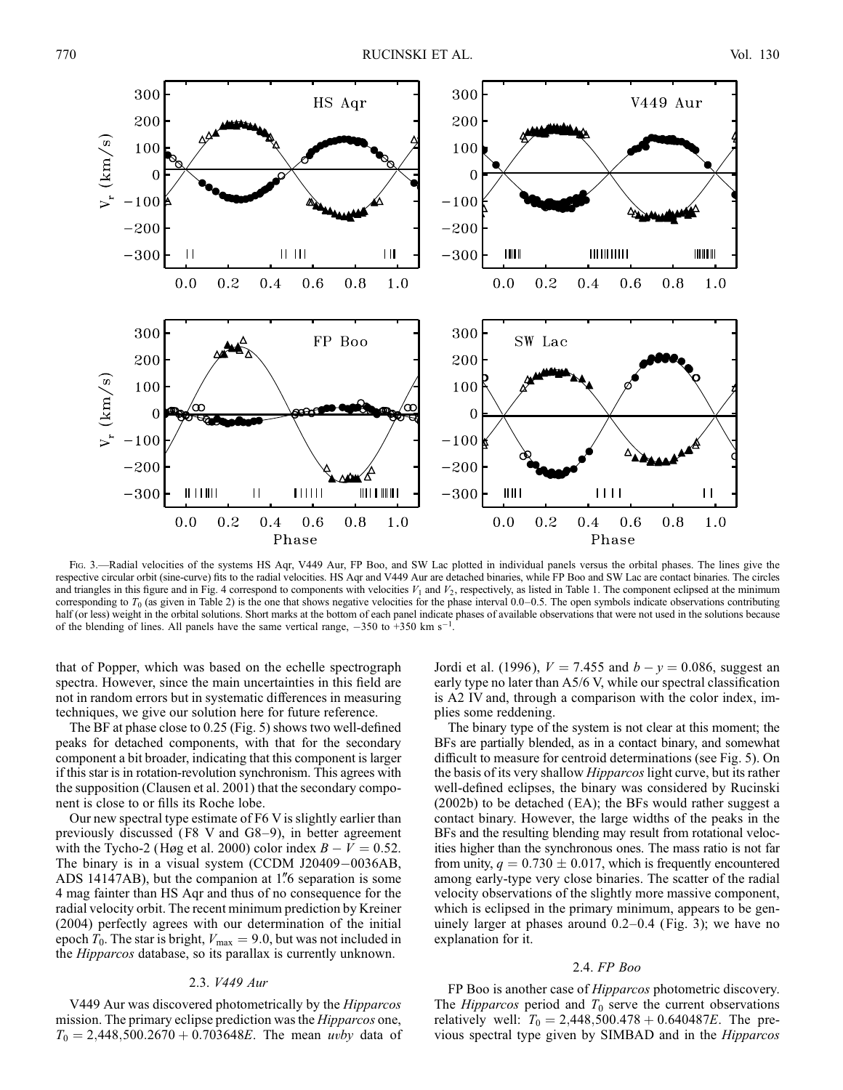

Fig. 3.—Radial velocities of the systems HS Aqr, V449 Aur, FP Boo, and SW Lac plotted in individual panels versus the orbital phases. The lines give the respective circular orbit (sine-curve) fits to the radial velocities. HS Aqr and V449 Aur are detached binaries, while FP Boo and SW Lac are contact binaries. The circles and triangles in this figure and in Fig. 4 correspond to components with velocities  $V_1$  and  $V_2$ , respectively, as listed in Table 1. The component eclipsed at the minimum corresponding to  $T_0$  (as given in Table 2) is the one that shows negative velocities for the phase interval 0.0–0.5. The open symbols indicate observations contributing half (or less) weight in the orbital solutions. Short marks at the bottom of each panel indicate phases of available observations that were not used in the solutions because of the blending of lines. All panels have the same vertical range,  $-350$  to  $+350$  km s<sup>-1</sup>.

that of Popper, which was based on the echelle spectrograph spectra. However, since the main uncertainties in this field are not in random errors but in systematic differences in measuring techniques, we give our solution here for future reference.

The BF at phase close to 0.25 (Fig. 5) shows two well-defined peaks for detached components, with that for the secondary component a bit broader, indicating that this component is larger if this star is in rotation-revolution synchronism. This agrees with the supposition (Clausen et al. 2001) that the secondary component is close to or fills its Roche lobe.

Our new spectral type estimate of F6 V is slightly earlier than previously discussed (F8 V and G8-9), in better agreement with the Tycho-2 (Høg et al. 2000) color index  $B - V = 0.52$ . The binary is in a visual system (CCDM J20409-0036AB, ADS 14147AB), but the companion at 1'' 6 separation is some 4 mag fainter than HS Aqr and thus of no consequence for the radial velocity orbit. The recent minimum prediction by Kreiner (2004) perfectly agrees with our determination of the initial epoch  $T_0$ . The star is bright,  $V_{\text{max}} = 9.0$ , but was not included in the Hipparcos database, so its parallax is currently unknown.

# 2.3. V449 Aur

V449 Aur was discovered photometrically by the Hipparcos mission. The primary eclipse prediction was the *Hipparcos* one,  $T_0 = 2,448,500.2670 + 0.703648E$ . The mean uvby data of

Jordi et al. (1996),  $V = 7.455$  and  $b - y = 0.086$ , suggest an early type no later than A5/6 V, while our spectral classification is A2 IV and, through a comparison with the color index, implies some reddening.

The binary type of the system is not clear at this moment; the BFs are partially blended, as in a contact binary, and somewhat difficult to measure for centroid determinations (see Fig. 5). On the basis of its very shallow Hipparcos light curve, but its rather well-defined eclipses, the binary was considered by Rucinski (2002b) to be detached (EA); the BFs would rather suggest a contact binary. However, the large widths of the peaks in the BFs and the resulting blending may result from rotational velocities higher than the synchronous ones. The mass ratio is not far from unity,  $q = 0.730 \pm 0.017$ , which is frequently encountered among early-type very close binaries. The scatter of the radial velocity observations of the slightly more massive component, which is eclipsed in the primary minimum, appears to be genuinely larger at phases around 0.2–0.4 (Fig. 3); we have no explanation for it.

# 2.4. FP Boo

FP Boo is another case of *Hipparcos* photometric discovery. The *Hipparcos* period and  $T_0$  serve the current observations relatively well:  $T_0 = 2,448,500.478 + 0.640487E$ . The previous spectral type given by SIMBAD and in the Hipparcos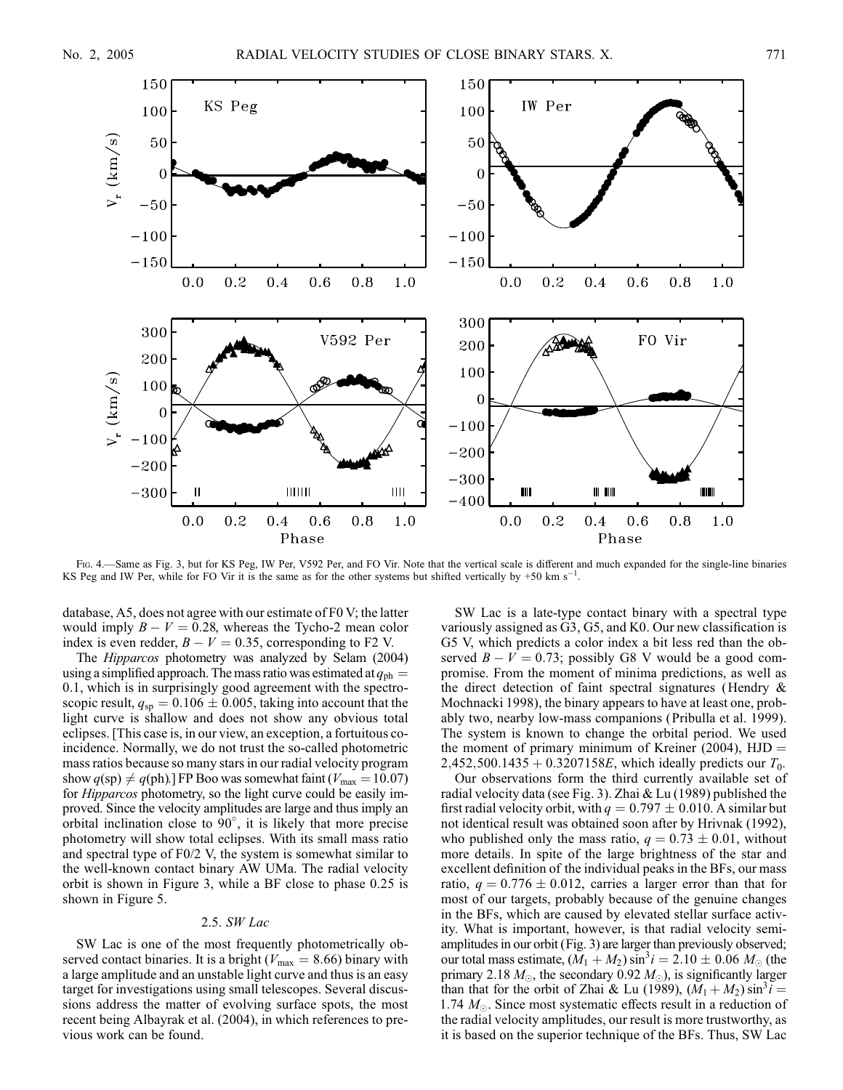

Fig. 4.—Same as Fig. 3, but for KS Peg, IW Per, V592 Per, and FO Vir. Note that the vertical scale is different and much expanded for the single-line binaries KS Peg and IW Per, while for FO Vir it is the same as for the other systems but shifted vertically by +50 km s<sup>-1</sup>.

database, A5, does not agree with our estimate of F0 V; the latter would imply  $B - V = 0.28$ , whereas the Tycho-2 mean color index is even redder,  $B - V = 0.35$ , corresponding to F2 V.

The Hipparcos photometry was analyzed by Selam (2004) using a simplified approach. The mass ratio was estimated at  $q_{ph} =$ 0:1, which is in surprisingly good agreement with the spectroscopic result,  $q_{sp} = 0.106 \pm 0.005$ , taking into account that the light curve is shallow and does not show any obvious total eclipses. [This case is, in our view, an exception, a fortuitous coincidence. Normally, we do not trust the so-called photometric mass ratios because so many stars in our radial velocity program show  $q(sp) \neq q(ph)$ .] FP Boo was somewhat faint ( $V_{\text{max}} = 10.07$ ) for Hipparcos photometry, so the light curve could be easily improved. Since the velocity amplitudes are large and thus imply an orbital inclination close to  $90^{\circ}$ , it is likely that more precise photometry will show total eclipses. With its small mass ratio and spectral type of F0/2 V, the system is somewhat similar to the well-known contact binary AW UMa. The radial velocity orbit is shown in Figure 3, while a BF close to phase 0.25 is shown in Figure 5.

#### 2.5. SW Lac

SW Lac is one of the most frequently photometrically observed contact binaries. It is a bright ( $V_{\text{max}} = 8.66$ ) binary with a large amplitude and an unstable light curve and thus is an easy target for investigations using small telescopes. Several discussions address the matter of evolving surface spots, the most recent being Albayrak et al. (2004), in which references to previous work can be found.

SW Lac is a late-type contact binary with a spectral type variously assigned as G3, G5, and K0. Our new classification is G5 V, which predicts a color index a bit less red than the observed  $B - V = 0.73$ ; possibly G8 V would be a good compromise. From the moment of minima predictions, as well as the direct detection of faint spectral signatures (Hendry & Mochnacki 1998), the binary appears to have at least one, probably two, nearby low-mass companions ( Pribulla et al. 1999). The system is known to change the orbital period. We used the moment of primary minimum of Kreiner (2004),  $HJD =$ 2,452,500.1435 + 0.3207158E, which ideally predicts our  $T_0$ .

Our observations form the third currently available set of radial velocity data (see Fig. 3). Zhai & Lu (1989) published the first radial velocity orbit, with  $q = 0.797 \pm 0.010$ . A similar but not identical result was obtained soon after by Hrivnak (1992), who published only the mass ratio,  $q = 0.73 \pm 0.01$ , without more details. In spite of the large brightness of the star and excellent definition of the individual peaks in the BFs, our mass ratio,  $q = 0.776 \pm 0.012$ , carries a larger error than that for most of our targets, probably because of the genuine changes in the BFs, which are caused by elevated stellar surface activity. What is important, however, is that radial velocity semiamplitudes in our orbit (Fig. 3) are larger than previously observed; our total mass estimate,  $(M_1 + M_2) \sin^3 i = 2.10 \pm 0.06 M_{\odot}$  (the primary 2.18  $M_{\odot}$ , the secondary 0.92  $M_{\odot}$ ), is significantly larger than that for the orbit of Zhai & Lu (1989),  $(M_1 + M_2) \sin^3 i =$ 1.74  $M_{\odot}$ . Since most systematic effects result in a reduction of the radial velocity amplitudes, our result is more trustworthy, as it is based on the superior technique of the BFs. Thus, SW Lac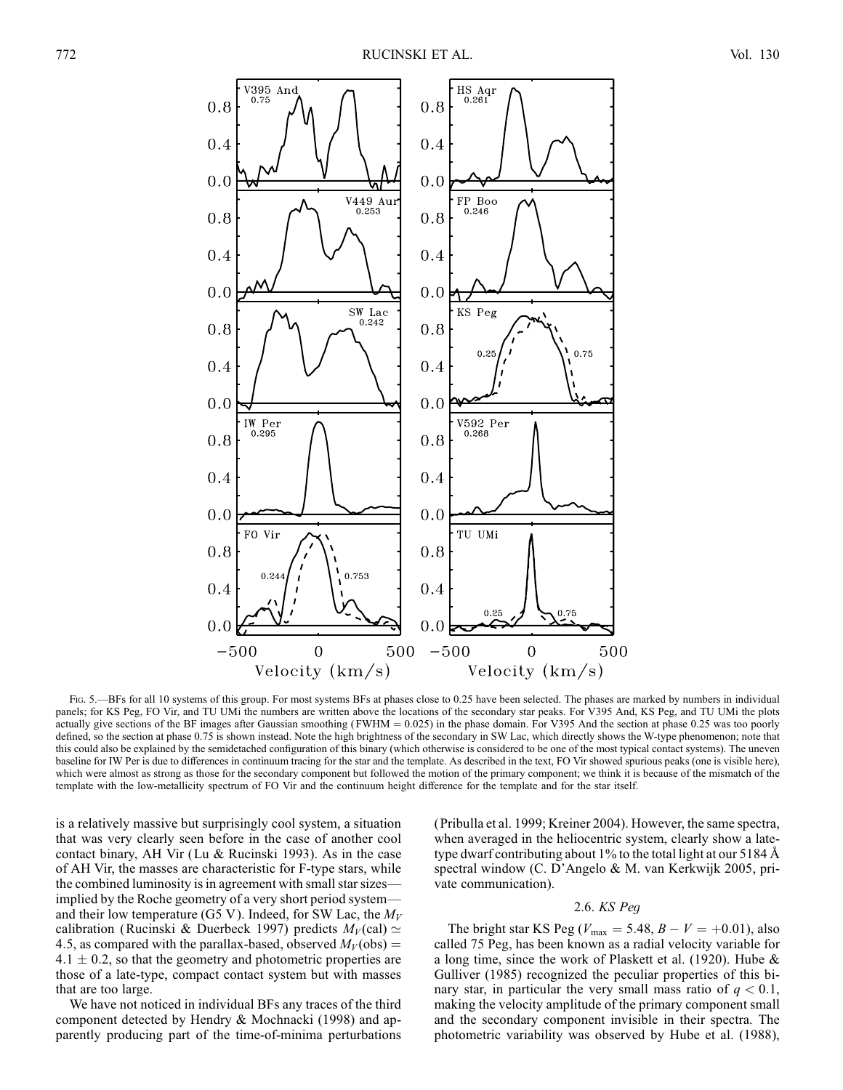

Fig. 5.—BFs for all 10 systems of this group. For most systems BFs at phases close to 0.25 have been selected. The phases are marked by numbers in individual panels; for KS Peg, FO Vir, and TU UMi the numbers are written above the locations of the secondary star peaks. For V395 And, KS Peg, and TU UMi the plots actually give sections of the BF images after Gaussian smoothing ( $FWHM = 0.025$ ) in the phase domain. For V395 And the section at phase 0.25 was too poorly defined, so the section at phase 0.75 is shown instead. Note the high brightness of the secondary in SW Lac, which directly shows the W-type phenomenon; note that this could also be explained by the semidetached configuration of this binary (which otherwise is considered to be one of the most typical contact systems). The uneven baseline for IW Per is due to differences in continuum tracing for the star and the template. As described in the text, FO Vir showed spurious peaks (one is visible here), which were almost as strong as those for the secondary component but followed the motion of the primary component; we think it is because of the mismatch of the template with the low-metallicity spectrum of FO Vir and the continuum height difference for the template and for the star itself.

is a relatively massive but surprisingly cool system, a situation that was very clearly seen before in the case of another cool contact binary, AH Vir (Lu & Rucinski 1993). As in the case of AH Vir, the masses are characteristic for F-type stars, while the combined luminosity is in agreement with small star sizes implied by the Roche geometry of a very short period system and their low temperature (G5 V). Indeed, for SW Lac, the  $M_V$ calibration (Rucinski & Duerbeck 1997) predicts  $M_V$  (cal)  $\simeq$ 4.5, as compared with the parallax-based, observed  $M_V$  (obs) =  $4.1 \pm 0.2$ , so that the geometry and photometric properties are those of a late-type, compact contact system but with masses that are too large.

We have not noticed in individual BFs any traces of the third component detected by Hendry & Mochnacki (1998) and apparently producing part of the time-of-minima perturbations (Pribulla et al. 1999; Kreiner 2004). However, the same spectra, when averaged in the heliocentric system, clearly show a latetype dwarf contributing about 1% to the total light at our 5184 *8* spectral window (C. D'Angelo & M. van Kerkwijk 2005, private communication).

# 2.6. KS Peg

The bright star KS Peg ( $V_{\text{max}} = 5.48, B - V = +0.01$ ), also called 75 Peg, has been known as a radial velocity variable for a long time, since the work of Plaskett et al. (1920). Hube & Gulliver (1985) recognized the peculiar properties of this binary star, in particular the very small mass ratio of  $q < 0.1$ , making the velocity amplitude of the primary component small and the secondary component invisible in their spectra. The photometric variability was observed by Hube et al. (1988),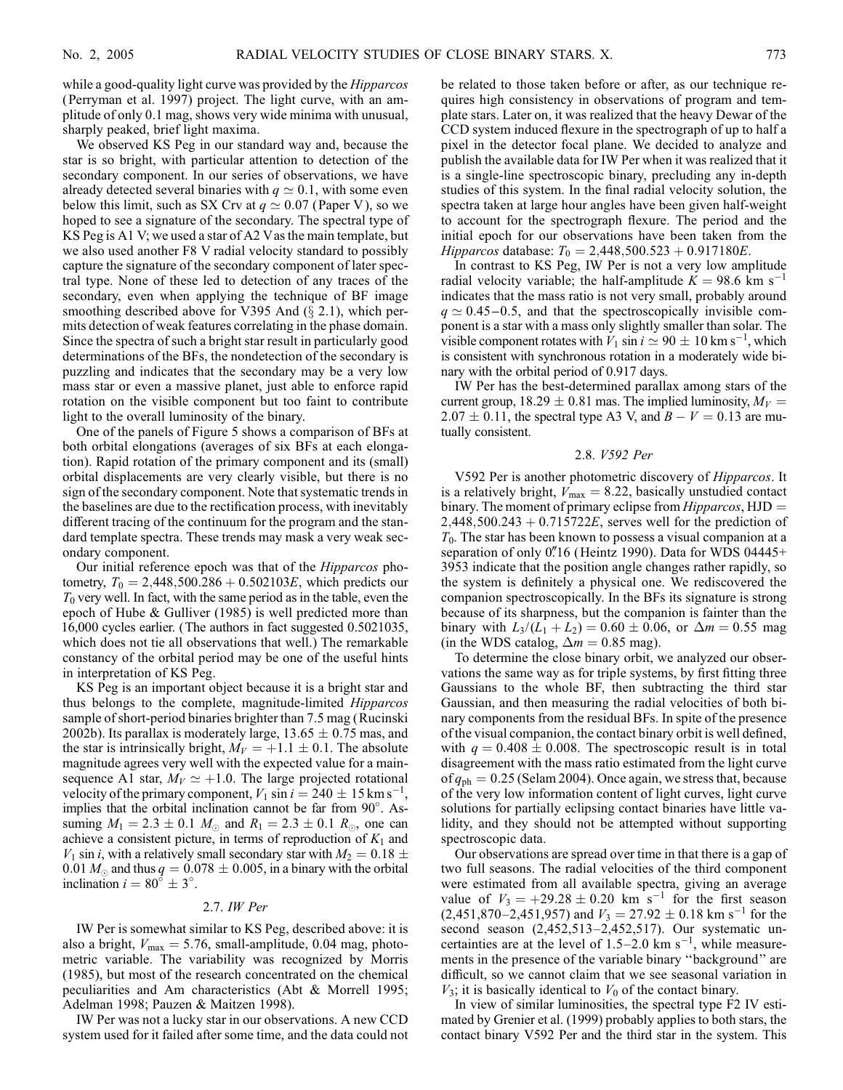while a good-quality light curve was provided by the *Hipparcos* ( Perryman et al. 1997) project. The light curve, with an amplitude of only 0.1 mag, shows very wide minima with unusual, sharply peaked, brief light maxima.

We observed KS Peg in our standard way and, because the star is so bright, with particular attention to detection of the secondary component. In our series of observations, we have already detected several binaries with  $q \simeq 0.1$ , with some even below this limit, such as SX Crv at  $q \approx 0.07$  (Paper V), so we hoped to see a signature of the secondary. The spectral type of KS Peg is A1 V; we used a star of A2 Vas the main template, but we also used another F8 V radial velocity standard to possibly capture the signature of the secondary component of later spectral type. None of these led to detection of any traces of the secondary, even when applying the technique of BF image smoothing described above for V395 And  $(\S 2.1)$ , which permits detection of weak features correlating in the phase domain. Since the spectra of such a bright star result in particularly good determinations of the BFs, the nondetection of the secondary is puzzling and indicates that the secondary may be a very low mass star or even a massive planet, just able to enforce rapid rotation on the visible component but too faint to contribute light to the overall luminosity of the binary.

One of the panels of Figure 5 shows a comparison of BFs at both orbital elongations (averages of six BFs at each elongation). Rapid rotation of the primary component and its (small) orbital displacements are very clearly visible, but there is no sign of the secondary component. Note that systematic trends in the baselines are due to the rectification process, with inevitably different tracing of the continuum for the program and the standard template spectra. These trends may mask a very weak secondary component.

Our initial reference epoch was that of the Hipparcos photometry,  $T_0 = 2{,}448{,}500.286 + 0.502103E$ , which predicts our  $T_0$  very well. In fact, with the same period as in the table, even the epoch of Hube & Gulliver (1985) is well predicted more than 16,000 cycles earlier. (The authors in fact suggested 0.5021035, which does not tie all observations that well.) The remarkable constancy of the orbital period may be one of the useful hints in interpretation of KS Peg.

KS Peg is an important object because it is a bright star and thus belongs to the complete, magnitude-limited Hipparcos sample of short-period binaries brighter than 7.5 mag (Rucinski 2002b). Its parallax is moderately large,  $13.65 \pm 0.75$  mas, and the star is intrinsically bright,  $M_V = +1.1 \pm 0.1$ . The absolute magnitude agrees very well with the expected value for a mainsequence A1 star,  $M_V \simeq +1.0$ . The large projected rotational velocity of the primary component,  $V_1 \sin i = 240 \pm 15 \text{ km s}^{-1}$ , implies that the orbital inclination cannot be far from 90 . Assuming  $M_1 = 2.3 \pm 0.1$   $M_{\odot}$  and  $R_1 = 2.3 \pm 0.1$   $R_{\odot}$ , one can achieve a consistent picture, in terms of reproduction of  $K_1$  and  $V_1$  sin *i*, with a relatively small secondary star with  $M_2 = 0.18 \pm 1.18$ 0.01  $M_{\odot}$  and thus  $q = 0.078 \pm 0.005$ , in a binary with the orbital inclination  $i = 80^{\circ} \pm 3^{\circ}$ .

# 2.7. IW Per

IW Per is somewhat similar to KS Peg, described above: it is also a bright,  $V_{\text{max}} = 5.76$ , small-amplitude, 0.04 mag, photometric variable. The variability was recognized by Morris (1985), but most of the research concentrated on the chemical peculiarities and Am characteristics (Abt & Morrell 1995; Adelman 1998; Pauzen & Maitzen 1998).

IW Per was not a lucky star in our observations. A new CCD system used for it failed after some time, and the data could not be related to those taken before or after, as our technique requires high consistency in observations of program and template stars. Later on, it was realized that the heavy Dewar of the CCD system induced flexure in the spectrograph of up to half a pixel in the detector focal plane. We decided to analyze and publish the available data for IW Per when it was realized that it is a single-line spectroscopic binary, precluding any in-depth studies of this system. In the final radial velocity solution, the spectra taken at large hour angles have been given half-weight to account for the spectrograph flexure. The period and the initial epoch for our observations have been taken from the Hipparcos database:  $T_0 = 2,448,500.523 + 0.917180E$ .

In contrast to KS Peg, IW Per is not a very low amplitude radial velocity variable; the half-amplitude  $K = 98.6$  km s<sup>-1</sup> indicates that the mass ratio is not very small, probably around  $q \approx 0.45 - 0.5$ , and that the spectroscopically invisible component is a star with a mass only slightly smaller than solar. The visible component rotates with  $V_1$  sin  $i \simeq 90 \pm 10$  km s<sup>-1</sup>, which is consistent with synchronous rotation in a moderately wide binary with the orbital period of 0.917 days.

IW Per has the best-determined parallax among stars of the current group, 18.29  $\pm$  0.81 mas. The implied luminosity,  $M_V =$  $2.07 \pm 0.11$ , the spectral type A3 V, and  $B - V = 0.13$  are mutually consistent.

# 2.8. V592 Per

V592 Per is another photometric discovery of Hipparcos. It is a relatively bright,  $V_{\text{max}} = 8.22$ , basically unstudied contact binary. The moment of primary eclipse from  $Hipparcos$ ,  $HJD =$  $2,448,500.243 + 0.715722E$ , serves well for the prediction of  $T_0$ . The star has been known to possess a visual companion at a separation of only 0"16 (Heintz 1990). Data for WDS 04445+ 3953 indicate that the position angle changes rather rapidly, so the system is definitely a physical one. We rediscovered the companion spectroscopically. In the BFs its signature is strong because of its sharpness, but the companion is fainter than the binary with  $L_3/(L_1 + L_2) = 0.60 \pm 0.06$ , or  $\Delta m = 0.55$  mag (in the WDS catalog,  $\Delta m = 0.85$  mag).

To determine the close binary orbit, we analyzed our observations the same way as for triple systems, by first fitting three Gaussians to the whole BF, then subtracting the third star Gaussian, and then measuring the radial velocities of both binary components from the residual BFs. In spite of the presence of the visual companion, the contact binary orbit is well defined, with  $q = 0.408 \pm 0.008$ . The spectroscopic result is in total disagreement with the mass ratio estimated from the light curve of  $q_{ph} = 0.25$  (Selam 2004). Once again, we stress that, because of the very low information content of light curves, light curve solutions for partially eclipsing contact binaries have little validity, and they should not be attempted without supporting spectroscopic data.

Our observations are spread over time in that there is a gap of two full seasons. The radial velocities of the third component were estimated from all available spectra, giving an average value of  $V_3 = +29.28 \pm 0.20$  km s<sup>-1</sup> for the first season  $(2,451,870-2,451,957)$  and  $V_3 = 27.92 \pm 0.18$  km s<sup>-1</sup> for the second season (2,452,513–2,452,517). Our systematic uncertainties are at the level of  $1.5-2.0 \text{ km s}^{-1}$ , while measurements in the presence of the variable binary ''background'' are difficult, so we cannot claim that we see seasonal variation in  $V_3$ ; it is basically identical to  $V_0$  of the contact binary.

In view of similar luminosities, the spectral type F2 IV estimated by Grenier et al. (1999) probably applies to both stars, the contact binary V592 Per and the third star in the system. This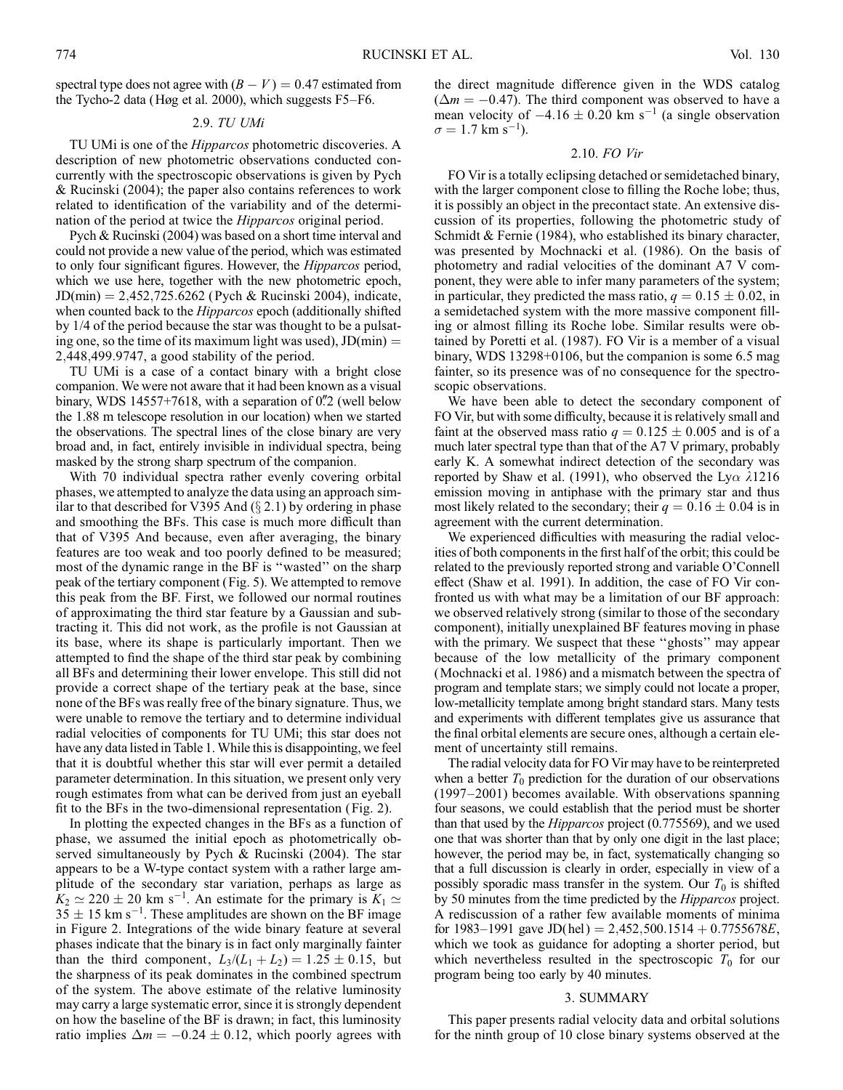spectral type does not agree with  $(B - V) = 0.47$  estimated from the Tycho-2 data (Høg et al. 2000), which suggests F5–F6.

# 2.9. TU UMi

TU UMi is one of the Hipparcos photometric discoveries. A description of new photometric observations conducted concurrently with the spectroscopic observations is given by Pych & Rucinski (2004); the paper also contains references to work related to identification of the variability and of the determination of the period at twice the Hipparcos original period.

Pych & Rucinski (2004) was based on a short time interval and could not provide a new value of the period, which was estimated to only four significant figures. However, the Hipparcos period, which we use here, together with the new photometric epoch,  $JD(min) = 2,452,725.6262$  (Pych & Rucinski 2004), indicate, when counted back to the *Hipparcos* epoch (additionally shifted by 1/4 of the period because the star was thought to be a pulsating one, so the time of its maximum light was used),  $JD(min) =$ 2;448;499:9747, a good stability of the period.

TU UMi is a case of a contact binary with a bright close companion. We were not aware that it had been known as a visual binary, WDS 14557+7618, with a separation of  $0\rlap{.}^{\prime\prime}$  (well below the 1.88 m telescope resolution in our location) when we started the observations. The spectral lines of the close binary are very broad and, in fact, entirely invisible in individual spectra, being masked by the strong sharp spectrum of the companion.

With 70 individual spectra rather evenly covering orbital phases, we attempted to analyze the data using an approach similar to that described for V395 And  $(\S 2.1)$  by ordering in phase and smoothing the BFs. This case is much more difficult than that of V395 And because, even after averaging, the binary features are too weak and too poorly defined to be measured; most of the dynamic range in the BF is ''wasted'' on the sharp peak of the tertiary component (Fig. 5). We attempted to remove this peak from the BF. First, we followed our normal routines of approximating the third star feature by a Gaussian and subtracting it. This did not work, as the profile is not Gaussian at its base, where its shape is particularly important. Then we attempted to find the shape of the third star peak by combining all BFs and determining their lower envelope. This still did not provide a correct shape of the tertiary peak at the base, since none of the BFs was really free of the binary signature. Thus, we were unable to remove the tertiary and to determine individual radial velocities of components for TU UMi; this star does not have any data listed in Table 1. While this is disappointing, we feel that it is doubtful whether this star will ever permit a detailed parameter determination. In this situation, we present only very rough estimates from what can be derived from just an eyeball fit to the BFs in the two-dimensional representation (Fig. 2).

In plotting the expected changes in the BFs as a function of phase, we assumed the initial epoch as photometrically observed simultaneously by Pych & Rucinski (2004). The star appears to be a W-type contact system with a rather large amplitude of the secondary star variation, perhaps as large as  $K_2 \simeq 220 \pm 20$  km s<sup>-1</sup>. An estimate for the primary is  $K_1 \simeq$  $35 \pm 15$  km s<sup>-1</sup>. These amplitudes are shown on the BF image in Figure 2. Integrations of the wide binary feature at several phases indicate that the binary is in fact only marginally fainter than the third component,  $L_3/(L_1 + L_2) = 1.25 \pm 0.15$ , but the sharpness of its peak dominates in the combined spectrum of the system. The above estimate of the relative luminosity may carry a large systematic error, since it is strongly dependent on how the baseline of the BF is drawn; in fact, this luminosity ratio implies  $\Delta m = -0.24 \pm 0.12$ , which poorly agrees with

the direct magnitude difference given in the WDS catalog  $(\Delta m = -0.47)$ . The third component was observed to have a mean velocity of  $-4.16 \pm 0.20$  km s<sup>-1</sup> (a single observation  $\sigma = 1.7$  km s<sup>-1</sup>).

# 2.10. FO Vir

FO Vir is a totally eclipsing detached or semidetached binary, with the larger component close to filling the Roche lobe; thus, it is possibly an object in the precontact state. An extensive discussion of its properties, following the photometric study of Schmidt & Fernie (1984), who established its binary character, was presented by Mochnacki et al. (1986). On the basis of photometry and radial velocities of the dominant A7 V component, they were able to infer many parameters of the system; in particular, they predicted the mass ratio,  $q = 0.15 \pm 0.02$ , in a semidetached system with the more massive component filling or almost filling its Roche lobe. Similar results were obtained by Poretti et al. (1987). FO Vir is a member of a visual binary, WDS 13298+0106, but the companion is some 6.5 mag fainter, so its presence was of no consequence for the spectroscopic observations.

We have been able to detect the secondary component of FO Vir, but with some difficulty, because it is relatively small and faint at the observed mass ratio  $q = 0.125 \pm 0.005$  and is of a much later spectral type than that of the A7 V primary, probably early K. A somewhat indirect detection of the secondary was reported by Shaw et al. (1991), who observed the Ly $\alpha$   $\lambda$ 1216 emission moving in antiphase with the primary star and thus most likely related to the secondary; their  $q = 0.16 \pm 0.04$  is in agreement with the current determination.

We experienced difficulties with measuring the radial velocities of both components in the first half of the orbit; this could be related to the previously reported strong and variable O'Connell effect (Shaw et al. 1991). In addition, the case of FO Vir confronted us with what may be a limitation of our BF approach: we observed relatively strong (similar to those of the secondary component), initially unexplained BF features moving in phase with the primary. We suspect that these ''ghosts'' may appear because of the low metallicity of the primary component (Mochnacki et al. 1986) and a mismatch between the spectra of program and template stars; we simply could not locate a proper, low-metallicity template among bright standard stars. Many tests and experiments with different templates give us assurance that the final orbital elements are secure ones, although a certain element of uncertainty still remains.

The radial velocity data for FO Vir may have to be reinterpreted when a better  $T_0$  prediction for the duration of our observations (1997–2001) becomes available. With observations spanning four seasons, we could establish that the period must be shorter than that used by the Hipparcos project (0.775569), and we used one that was shorter than that by only one digit in the last place; however, the period may be, in fact, systematically changing so that a full discussion is clearly in order, especially in view of a possibly sporadic mass transfer in the system. Our  $T_0$  is shifted by 50 minutes from the time predicted by the Hipparcos project. A rediscussion of a rather few available moments of minima for 1983–1991 gave JD(hel) = 2,452,500.1514  $+$  0.7755678E, which we took as guidance for adopting a shorter period, but which nevertheless resulted in the spectroscopic  $T_0$  for our program being too early by 40 minutes.

#### 3. SUMMARY

This paper presents radial velocity data and orbital solutions for the ninth group of 10 close binary systems observed at the